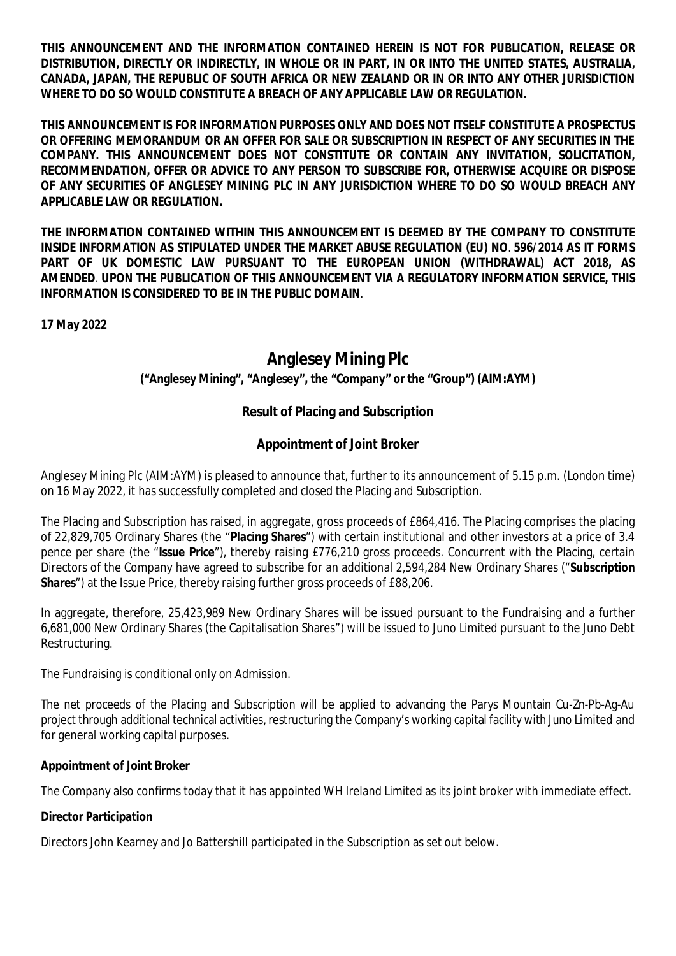**THIS ANNOUNCEMENT AND THE INFORMATION CONTAINED HEREIN IS NOT FOR PUBLICATION, RELEASE OR DISTRIBUTION, DIRECTLY OR INDIRECTLY, IN WHOLE OR IN PART, IN OR INTO THE UNITED STATES, AUSTRALIA, CANADA, JAPAN, THE REPUBLIC OF SOUTH AFRICA OR NEW ZEALAND OR IN OR INTO ANY OTHER JURISDICTION WHERE TO DO SO WOULD CONSTITUTE A BREACH OF ANY APPLICABLE LAW OR REGULATION.**

**THIS ANNOUNCEMENT IS FOR INFORMATION PURPOSES ONLY AND DOES NOT ITSELF CONSTITUTE A PROSPECTUS OR OFFERING MEMORANDUM OR AN OFFER FOR SALE OR SUBSCRIPTION IN RESPECT OF ANY SECURITIES IN THE COMPANY. THIS ANNOUNCEMENT DOES NOT CONSTITUTE OR CONTAIN ANY INVITATION, SOLICITATION, RECOMMENDATION, OFFER OR ADVICE TO ANY PERSON TO SUBSCRIBE FOR, OTHERWISE ACQUIRE OR DISPOSE OF ANY SECURITIES OF ANGLESEY MINING PLC IN ANY JURISDICTION WHERE TO DO SO WOULD BREACH ANY APPLICABLE LAW OR REGULATION.**

**THE INFORMATION CONTAINED WITHIN THIS ANNOUNCEMENT IS DEEMED BY THE COMPANY TO CONSTITUTE INSIDE INFORMATION AS STIPULATED UNDER THE MARKET ABUSE REGULATION (EU) NO**. **596/2014 AS IT FORMS PART OF UK DOMESTIC LAW PURSUANT TO THE EUROPEAN UNION (WITHDRAWAL) ACT 2018, AS AMENDED**. **UPON THE PUBLICATION OF THIS ANNOUNCEMENT VIA A REGULATORY INFORMATION SERVICE, THIS INFORMATION IS CONSIDERED TO BE IN THE PUBLIC DOMAIN**.

**17 May 2022**

# **Anglesey Mining Plc**

**("Anglesey Mining", "Anglesey", the "Company" or the "Group") (AIM:AYM)**

## **Result of Placing and Subscription**

## **Appointment of Joint Broker**

Anglesey Mining Plc (AIM:AYM) is pleased to announce that, further to its announcement of 5.15 p.m. (London time) on 16 May 2022, it has successfully completed and closed the Placing and Subscription.

The Placing and Subscription has raised, in aggregate, gross proceeds of £864,416. The Placing comprises the placing of 22,829,705 Ordinary Shares (the "**Placing Shares**") with certain institutional and other investors at a price of 3.4 pence per share (the "**Issue Price**"), thereby raising £776,210 gross proceeds. Concurrent with the Placing, certain Directors of the Company have agreed to subscribe for an additional 2,594,284 New Ordinary Shares ("**Subscription Shares**") at the Issue Price, thereby raising further gross proceeds of £88,206.

In aggregate, therefore, 25,423,989 New Ordinary Shares will be issued pursuant to the Fundraising and a further 6,681,000 New Ordinary Shares (the Capitalisation Shares") will be issued to Juno Limited pursuant to the Juno Debt Restructuring.

The Fundraising is conditional only on Admission.

The net proceeds of the Placing and Subscription will be applied to advancing the Parys Mountain Cu-Zn-Pb-Ag-Au project through additional technical activities, restructuring the Company's working capital facility with Juno Limited and for general working capital purposes.

**Appointment of Joint Broker**

The Company also confirms today that it has appointed WH Ireland Limited as its joint broker with immediate effect.

**Director Participation**

Directors John Kearney and Jo Battershill participated in the Subscription as set out below.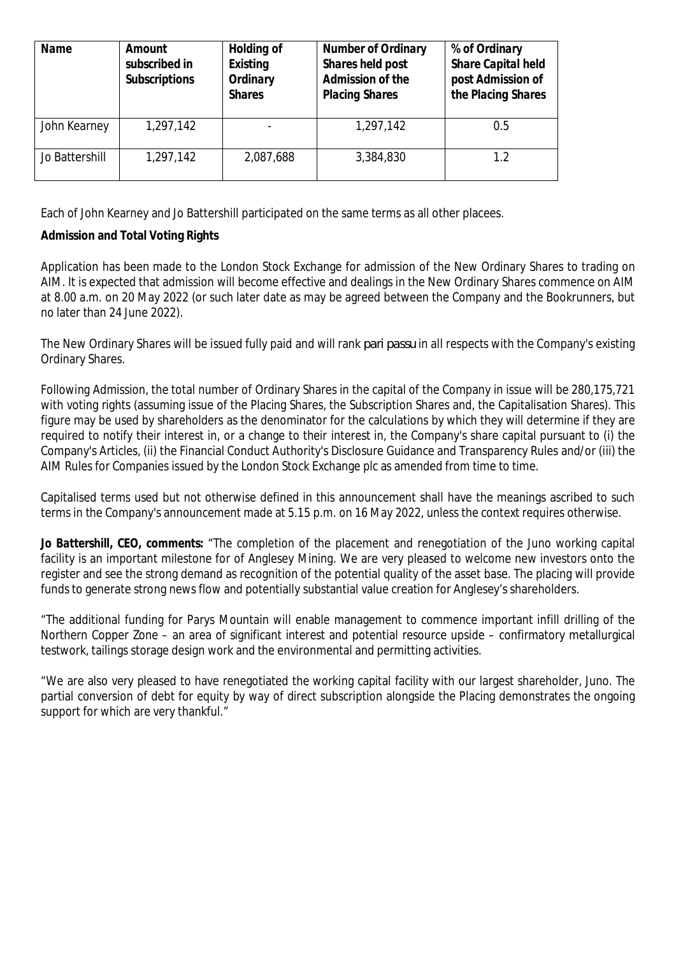| Name           | Amount        | Holding of    | Number of Ordinary    | % of Ordinary      |
|----------------|---------------|---------------|-----------------------|--------------------|
|                | subscribed in | Existing      | Shares held post      | Share Capital held |
|                | Subscriptions | Ordinary      | Admission of the      | post Admission of  |
|                |               | <b>Shares</b> | <b>Placing Shares</b> | the Placing Shares |
|                |               |               |                       |                    |
| John Kearney   | 1,297,142     |               | 1,297,142             | 0.5                |
|                |               |               |                       |                    |
| Jo Battershill | 1,297,142     | 2,087,688     | 3,384,830             | 1.2                |
|                |               |               |                       |                    |

Each of John Kearney and Jo Battershill participated on the same terms as all other placees.

**Admission and Total Voting Rights**

Application has been made to the London Stock Exchange for admission of the New Ordinary Shares to trading on AIM. It is expected that admission will become effective and dealings in the New Ordinary Shares commence on AIM at 8.00 a.m. on 20 May 2022 (or such later date as may be agreed between the Company and the Bookrunners, but no later than 24 June 2022).

The New Ordinary Shares will be issued fully paid and will rank *pari passu* in all respects with the Company's existing Ordinary Shares.

Following Admission, the total number of Ordinary Shares in the capital of the Company in issue will be 280,175,721 with voting rights (assuming issue of the Placing Shares, the Subscription Shares and, the Capitalisation Shares). This figure may be used by shareholders as the denominator for the calculations by which they will determine if they are required to notify their interest in, or a change to their interest in, the Company's share capital pursuant to (i) the Company's Articles, (ii) the Financial Conduct Authority's Disclosure Guidance and Transparency Rules and/or (iii) the AIM Rules for Companies issued by the London Stock Exchange plc as amended from time to time.

Capitalised terms used but not otherwise defined in this announcement shall have the meanings ascribed to such terms in the Company's announcement made at 5.15 p.m. on 16 May 2022, unless the context requires otherwise.

*Jo Battershill, CEO, comments:* "The completion of the placement and renegotiation of the Juno working capital facility is an important milestone for of Anglesey Mining. We are very pleased to welcome new investors onto the register and see the strong demand as recognition of the potential quality of the asset base. The placing will provide funds to generate strong news flow and potentially substantial value creation for Anglesey's shareholders.

"The additional funding for Parys Mountain will enable management to commence important infill drilling of the Northern Copper Zone – an area of significant interest and potential resource upside – confirmatory metallurgical testwork, tailings storage design work and the environmental and permitting activities.

"We are also very pleased to have renegotiated the working capital facility with our largest shareholder, Juno. The partial conversion of debt for equity by way of direct subscription alongside the Placing demonstrates the ongoing support for which are very thankful."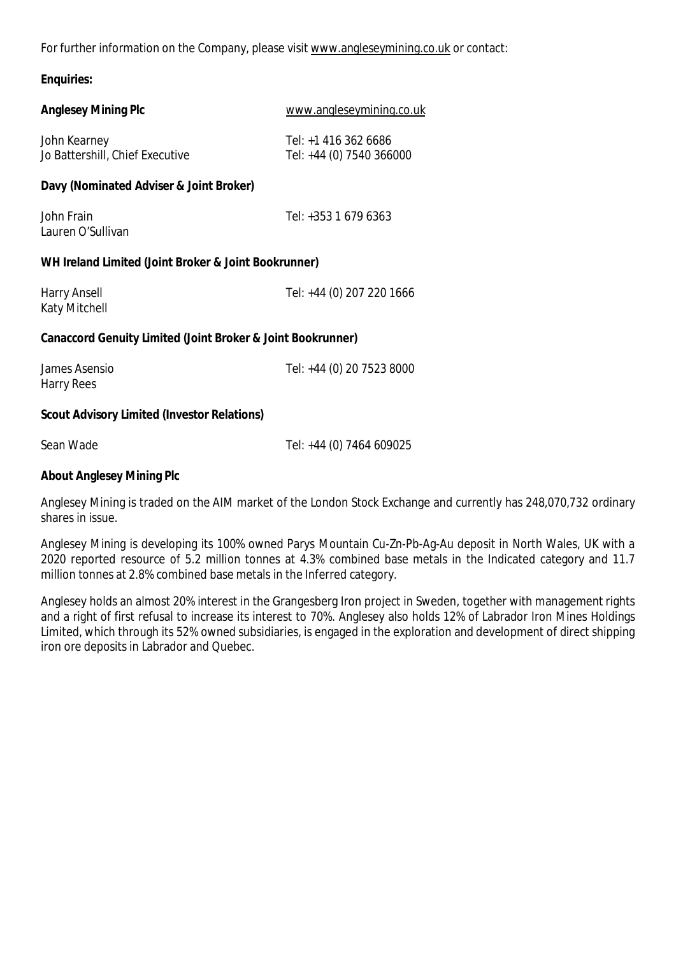For further information on the Company, please visit www.angleseymining.co.uk or contact:

**Enquiries:**

| <b>Anglesey Mining Plc</b>                                  | www.angleseymining.co.uk                         |  |
|-------------------------------------------------------------|--------------------------------------------------|--|
| John Kearney<br>Jo Battershill, Chief Executive             | Tel: +1 416 362 6686<br>Tel: +44 (0) 7540 366000 |  |
| Davy (Nominated Adviser & Joint Broker)                     |                                                  |  |
| John Frain<br>Lauren O'Sullivan                             | Tel: $+353$ 1 679 6363                           |  |
| WH Ireland Limited (Joint Broker & Joint Bookrunner)        |                                                  |  |
| Harry Ansell<br>Katy Mitchell                               | Tel: +44 (0) 207 220 1666                        |  |
| Canaccord Genuity Limited (Joint Broker & Joint Bookrunner) |                                                  |  |
| James Asensio<br><b>Harry Rees</b>                          | Tel: +44 (0) 20 7523 8000                        |  |
| Scout Advisory Limited (Investor Relations)                 |                                                  |  |
| Sean Wade                                                   | Tel: +44 (0) 7464 609025                         |  |
| About Anglesey Mining Plc                                   |                                                  |  |

Anglesey Mining is traded on the AIM market of the London Stock Exchange and currently has 248,070,732 ordinary shares in issue.

Anglesey Mining is developing its 100% owned Parys Mountain Cu-Zn-Pb-Ag-Au deposit in North Wales, UK with a 2020 reported resource of 5.2 million tonnes at 4.3% combined base metals in the Indicated category and 11.7 million tonnes at 2.8% combined base metals in the Inferred category.

Anglesey holds an almost 20% interest in the Grangesberg Iron project in Sweden, together with management rights and a right of first refusal to increase its interest to 70%. Anglesey also holds 12% of Labrador Iron Mines Holdings Limited, which through its 52% owned subsidiaries, is engaged in the exploration and development of direct shipping iron ore deposits in Labrador and Quebec.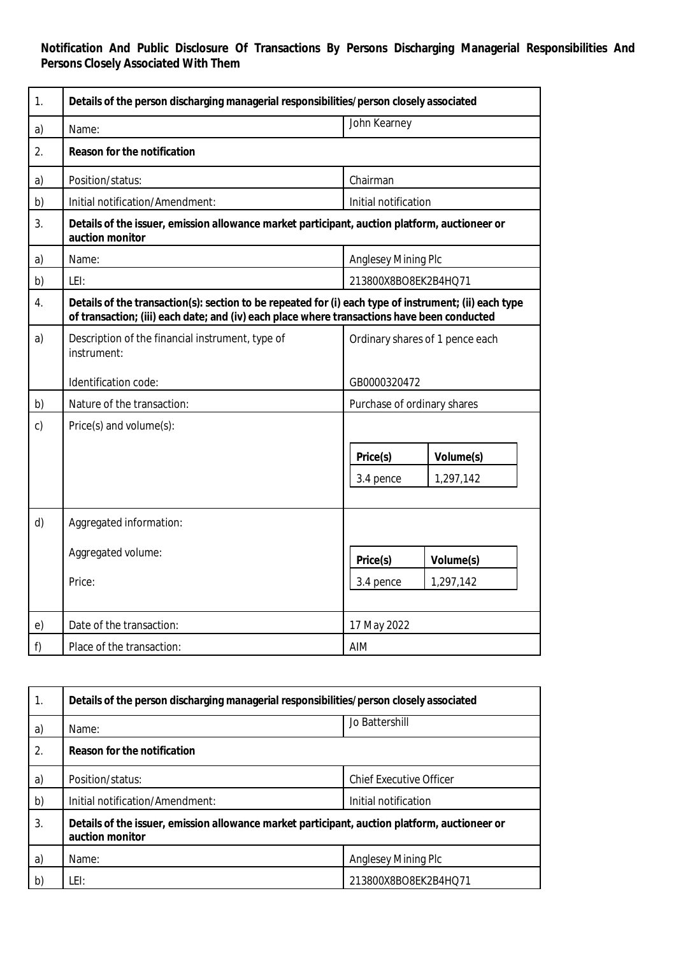**Notification And Public Disclosure Of Transactions By Persons Discharging Managerial Responsibilities And Persons Closely Associated With Them**

| 1.               | Details of the person discharging managerial responsibilities/person closely associated                                                                                                              |                                                 |  |
|------------------|------------------------------------------------------------------------------------------------------------------------------------------------------------------------------------------------------|-------------------------------------------------|--|
| a)               | Name:                                                                                                                                                                                                | John Kearney                                    |  |
| $\overline{2}$ . | Reason for the notification                                                                                                                                                                          |                                                 |  |
| a)               | Position/status:                                                                                                                                                                                     | Chairman                                        |  |
| b)               | Initial notification/Amendment:                                                                                                                                                                      | Initial notification                            |  |
| 3.               | Details of the issuer, emission allowance market participant, auction platform, auctioneer or<br>auction monitor                                                                                     |                                                 |  |
| a)               | Name:                                                                                                                                                                                                | Anglesey Mining Plc                             |  |
| b)               | LEI:                                                                                                                                                                                                 | 213800X8BO8EK2B4HQ71                            |  |
| 4.               | Details of the transaction(s): section to be repeated for (i) each type of instrument; (ii) each type<br>of transaction; (iii) each date; and (iv) each place where transactions have been conducted |                                                 |  |
| a)               | Description of the financial instrument, type of<br>instrument:                                                                                                                                      | Ordinary shares of 1 pence each                 |  |
|                  | Identification code:                                                                                                                                                                                 | GB0000320472                                    |  |
| b)               | Nature of the transaction:                                                                                                                                                                           | Purchase of ordinary shares                     |  |
| $\mathsf{C}$     | Price(s) and volume(s):                                                                                                                                                                              |                                                 |  |
|                  |                                                                                                                                                                                                      | Price(s)<br>Volume(s)<br>1,297,142<br>3.4 pence |  |
| d)               | Aggregated information:                                                                                                                                                                              |                                                 |  |
|                  | Aggregated volume:                                                                                                                                                                                   | Price(s)<br>Volume(s)                           |  |
|                  | Price:                                                                                                                                                                                               | 3.4 pence<br>1,297,142                          |  |
| e)               | Date of the transaction:                                                                                                                                                                             | 17 May 2022                                     |  |
| f)               | Place of the transaction:                                                                                                                                                                            | AIM                                             |  |

| 1. | Details of the person discharging managerial responsibilities/person closely associated                          |                                |  |
|----|------------------------------------------------------------------------------------------------------------------|--------------------------------|--|
| a) | Name:                                                                                                            | Jo Battershill                 |  |
| 2. | Reason for the notification                                                                                      |                                |  |
| a) | Position/status:                                                                                                 | <b>Chief Executive Officer</b> |  |
| b) | Initial notification/Amendment:                                                                                  | Initial notification           |  |
| 3. | Details of the issuer, emission allowance market participant, auction platform, auctioneer or<br>auction monitor |                                |  |
| a) | Name:                                                                                                            | <b>Anglesey Mining Plc</b>     |  |
| b) | LEI:                                                                                                             | 213800X8BO8EK2B4HQ71           |  |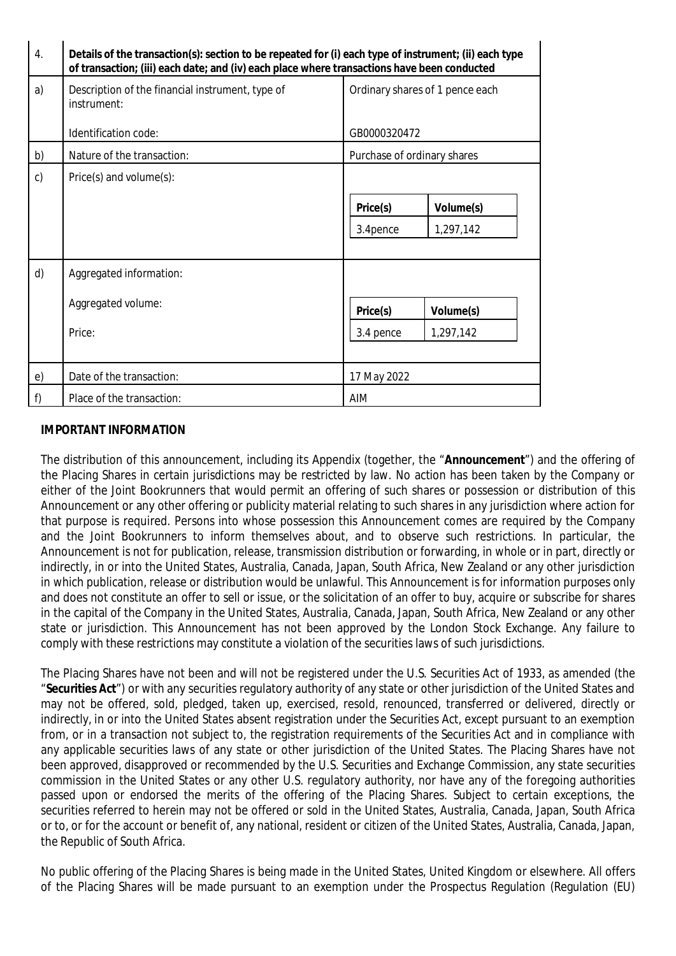| $\overline{4}$ . | Details of the transaction(s): section to be repeated for (i) each type of instrument; (ii) each type<br>of transaction; (iii) each date; and (iv) each place where transactions have been conducted |                                 |  |
|------------------|------------------------------------------------------------------------------------------------------------------------------------------------------------------------------------------------------|---------------------------------|--|
| a)               | Description of the financial instrument, type of<br>instrument:                                                                                                                                      | Ordinary shares of 1 pence each |  |
|                  | Identification code:                                                                                                                                                                                 | GB0000320472                    |  |
| b)               | Nature of the transaction:                                                                                                                                                                           | Purchase of ordinary shares     |  |
| $\mathsf{C}$     | $Price(s)$ and volume $(s)$ :                                                                                                                                                                        |                                 |  |
|                  |                                                                                                                                                                                                      | Price(s)<br>Volume(s)           |  |
|                  |                                                                                                                                                                                                      | 1,297,142<br>3.4pence           |  |
|                  |                                                                                                                                                                                                      |                                 |  |
| d)               | Aggregated information:                                                                                                                                                                              |                                 |  |
|                  | Aggregated volume:                                                                                                                                                                                   |                                 |  |
|                  |                                                                                                                                                                                                      | Price(s)<br>Volume(s)           |  |
|                  | Price:                                                                                                                                                                                               | 1,297,142<br>3.4 pence          |  |
|                  |                                                                                                                                                                                                      |                                 |  |
| e)               | Date of the transaction:                                                                                                                                                                             | 17 May 2022                     |  |
| f)               | Place of the transaction:                                                                                                                                                                            | AIM                             |  |

#### **IMPORTANT INFORMATION**

The distribution of this announcement, including its Appendix (together, the "**Announcement**") and the offering of the Placing Shares in certain jurisdictions may be restricted by law. No action has been taken by the Company or either of the Joint Bookrunners that would permit an offering of such shares or possession or distribution of this Announcement or any other offering or publicity material relating to such shares in any jurisdiction where action for that purpose is required. Persons into whose possession this Announcement comes are required by the Company and the Joint Bookrunners to inform themselves about, and to observe such restrictions. In particular, the Announcement is not for publication, release, transmission distribution or forwarding, in whole or in part, directly or indirectly, in or into the United States, Australia, Canada, Japan, South Africa, New Zealand or any other jurisdiction in which publication, release or distribution would be unlawful. This Announcement is for information purposes only and does not constitute an offer to sell or issue, or the solicitation of an offer to buy, acquire or subscribe for shares in the capital of the Company in the United States, Australia, Canada, Japan, South Africa, New Zealand or any other state or jurisdiction. This Announcement has not been approved by the London Stock Exchange. Any failure to comply with these restrictions may constitute a violation of the securities laws of such jurisdictions.

The Placing Shares have not been and will not be registered under the U.S. Securities Act of 1933, as amended (the "**Securities Act**") or with any securities regulatory authority of any state or other jurisdiction of the United States and may not be offered, sold, pledged, taken up, exercised, resold, renounced, transferred or delivered, directly or indirectly, in or into the United States absent registration under the Securities Act, except pursuant to an exemption from, or in a transaction not subject to, the registration requirements of the Securities Act and in compliance with any applicable securities laws of any state or other jurisdiction of the United States. The Placing Shares have not been approved, disapproved or recommended by the U.S. Securities and Exchange Commission, any state securities commission in the United States or any other U.S. regulatory authority, nor have any of the foregoing authorities passed upon or endorsed the merits of the offering of the Placing Shares. Subject to certain exceptions, the securities referred to herein may not be offered or sold in the United States, Australia, Canada, Japan, South Africa or to, or for the account or benefit of, any national, resident or citizen of the United States, Australia, Canada, Japan, the Republic of South Africa.

No public offering of the Placing Shares is being made in the United States, United Kingdom or elsewhere. All offers of the Placing Shares will be made pursuant to an exemption under the Prospectus Regulation (Regulation (EU)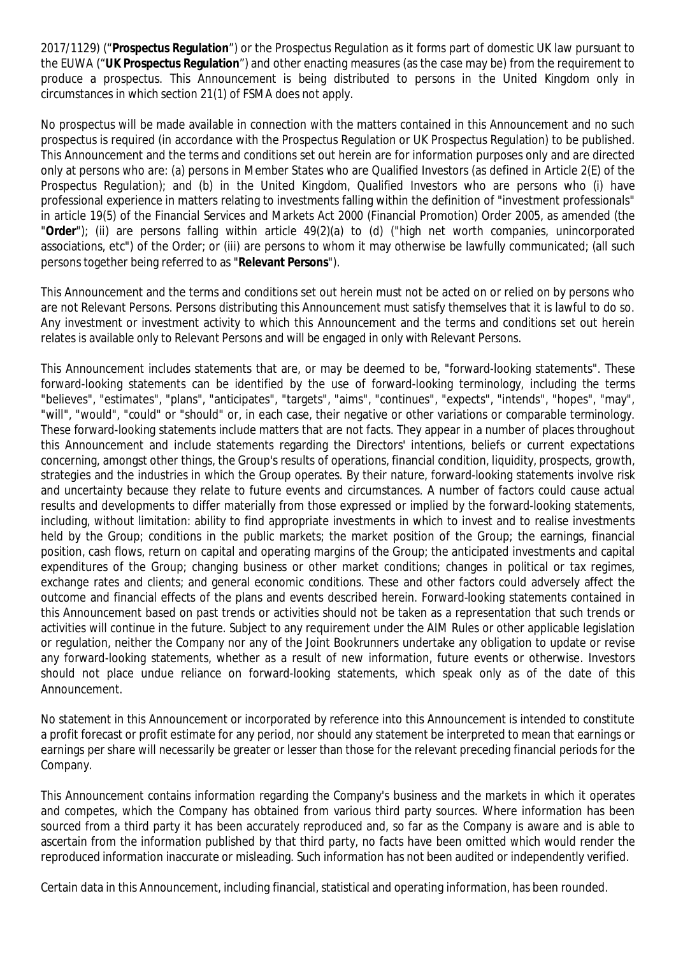2017/1129) ("**Prospectus Regulation**") or the Prospectus Regulation as it forms part of domestic UK law pursuant to the EUWA ("**UK Prospectus Regulation**") and other enacting measures (as the case may be) from the requirement to produce a prospectus. This Announcement is being distributed to persons in the United Kingdom only in circumstances in which section 21(1) of FSMA does not apply.

No prospectus will be made available in connection with the matters contained in this Announcement and no such prospectus is required (in accordance with the Prospectus Regulation or UK Prospectus Regulation) to be published. This Announcement and the terms and conditions set out herein are for information purposes only and are directed only at persons who are: (a) persons in Member States who are Qualified Investors (as defined in Article 2(E) of the Prospectus Regulation); and (b) in the United Kingdom, Qualified Investors who are persons who (i) have professional experience in matters relating to investments falling within the definition of "investment professionals" in article 19(5) of the Financial Services and Markets Act 2000 (Financial Promotion) Order 2005, as amended (the "**Order**"); (ii) are persons falling within article 49(2)(a) to (d) ("high net worth companies, unincorporated associations, etc") of the Order; or (iii) are persons to whom it may otherwise be lawfully communicated; (all such persons together being referred to as "**Relevant Persons**").

This Announcement and the terms and conditions set out herein must not be acted on or relied on by persons who are not Relevant Persons. Persons distributing this Announcement must satisfy themselves that it is lawful to do so. Any investment or investment activity to which this Announcement and the terms and conditions set out herein relates is available only to Relevant Persons and will be engaged in only with Relevant Persons.

This Announcement includes statements that are, or may be deemed to be, "forward-looking statements". These forward-looking statements can be identified by the use of forward-looking terminology, including the terms "believes", "estimates", "plans", "anticipates", "targets", "aims", "continues", "expects", "intends", "hopes", "may", "will", "would", "could" or "should" or, in each case, their negative or other variations or comparable terminology. These forward-looking statements include matters that are not facts. They appear in a number of places throughout this Announcement and include statements regarding the Directors' intentions, beliefs or current expectations concerning, amongst other things, the Group's results of operations, financial condition, liquidity, prospects, growth, strategies and the industries in which the Group operates. By their nature, forward-looking statements involve risk and uncertainty because they relate to future events and circumstances. A number of factors could cause actual results and developments to differ materially from those expressed or implied by the forward-looking statements, including, without limitation: ability to find appropriate investments in which to invest and to realise investments held by the Group; conditions in the public markets; the market position of the Group; the earnings, financial position, cash flows, return on capital and operating margins of the Group; the anticipated investments and capital expenditures of the Group; changing business or other market conditions; changes in political or tax regimes, exchange rates and clients; and general economic conditions. These and other factors could adversely affect the outcome and financial effects of the plans and events described herein. Forward-looking statements contained in this Announcement based on past trends or activities should not be taken as a representation that such trends or activities will continue in the future. Subject to any requirement under the AIM Rules or other applicable legislation or regulation, neither the Company nor any of the Joint Bookrunners undertake any obligation to update or revise any forward-looking statements, whether as a result of new information, future events or otherwise. Investors should not place undue reliance on forward-looking statements, which speak only as of the date of this Announcement.

No statement in this Announcement or incorporated by reference into this Announcement is intended to constitute a profit forecast or profit estimate for any period, nor should any statement be interpreted to mean that earnings or earnings per share will necessarily be greater or lesser than those for the relevant preceding financial periods for the Company.

This Announcement contains information regarding the Company's business and the markets in which it operates and competes, which the Company has obtained from various third party sources. Where information has been sourced from a third party it has been accurately reproduced and, so far as the Company is aware and is able to ascertain from the information published by that third party, no facts have been omitted which would render the reproduced information inaccurate or misleading. Such information has not been audited or independently verified.

Certain data in this Announcement, including financial, statistical and operating information, has been rounded.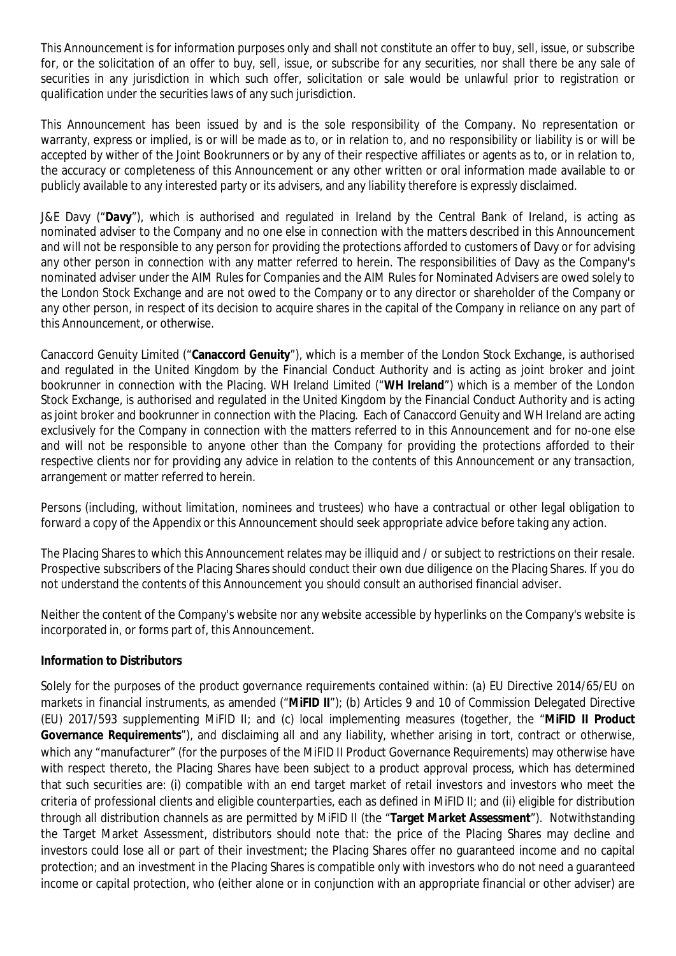This Announcement is for information purposes only and shall not constitute an offer to buy, sell, issue, or subscribe for, or the solicitation of an offer to buy, sell, issue, or subscribe for any securities, nor shall there be any sale of securities in any jurisdiction in which such offer, solicitation or sale would be unlawful prior to registration or qualification under the securities laws of any such jurisdiction.

This Announcement has been issued by and is the sole responsibility of the Company. No representation or warranty, express or implied, is or will be made as to, or in relation to, and no responsibility or liability is or will be accepted by wither of the Joint Bookrunners or by any of their respective affiliates or agents as to, or in relation to, the accuracy or completeness of this Announcement or any other written or oral information made available to or publicly available to any interested party or its advisers, and any liability therefore is expressly disclaimed.

J&E Davy ("**Davy**"), which is authorised and regulated in Ireland by the Central Bank of Ireland, is acting as nominated adviser to the Company and no one else in connection with the matters described in this Announcement and will not be responsible to any person for providing the protections afforded to customers of Davy or for advising any other person in connection with any matter referred to herein. The responsibilities of Davy as the Company's nominated adviser under the AIM Rules for Companies and the AIM Rules for Nominated Advisers are owed solely to the London Stock Exchange and are not owed to the Company or to any director or shareholder of the Company or any other person, in respect of its decision to acquire shares in the capital of the Company in reliance on any part of this Announcement, or otherwise.

Canaccord Genuity Limited ("**Canaccord Genuity**"), which is a member of the London Stock Exchange, is authorised and regulated in the United Kingdom by the Financial Conduct Authority and is acting as joint broker and joint bookrunner in connection with the Placing. WH Ireland Limited ("**WH Ireland**") which is a member of the London Stock Exchange, is authorised and regulated in the United Kingdom by the Financial Conduct Authority and is acting as joint broker and bookrunner in connection with the Placing. Each of Canaccord Genuity and WH Ireland are acting exclusively for the Company in connection with the matters referred to in this Announcement and for no-one else and will not be responsible to anyone other than the Company for providing the protections afforded to their respective clients nor for providing any advice in relation to the contents of this Announcement or any transaction, arrangement or matter referred to herein.

Persons (including, without limitation, nominees and trustees) who have a contractual or other legal obligation to forward a copy of the Appendix or this Announcement should seek appropriate advice before taking any action.

The Placing Shares to which this Announcement relates may be illiquid and / or subject to restrictions on their resale. Prospective subscribers of the Placing Shares should conduct their own due diligence on the Placing Shares. If you do not understand the contents of this Announcement you should consult an authorised financial adviser.

Neither the content of the Company's website nor any website accessible by hyperlinks on the Company's website is incorporated in, or forms part of, this Announcement.

#### **Information to Distributors**

Solely for the purposes of the product governance requirements contained within: (a) EU Directive 2014/65/EU on markets in financial instruments, as amended ("**MiFID II**"); (b) Articles 9 and 10 of Commission Delegated Directive (EU) 2017/593 supplementing MiFID II; and (c) local implementing measures (together, the "**MiFID II Product Governance Requirements**"), and disclaiming all and any liability, whether arising in tort, contract or otherwise, which any "manufacturer" (for the purposes of the MiFID II Product Governance Requirements) may otherwise have with respect thereto, the Placing Shares have been subject to a product approval process, which has determined that such securities are: (i) compatible with an end target market of retail investors and investors who meet the criteria of professional clients and eligible counterparties, each as defined in MiFID II; and (ii) eligible for distribution through all distribution channels as are permitted by MiFID II (the "**Target Market Assessment**"). Notwithstanding the Target Market Assessment, distributors should note that: the price of the Placing Shares may decline and investors could lose all or part of their investment; the Placing Shares offer no guaranteed income and no capital protection; and an investment in the Placing Shares is compatible only with investors who do not need a guaranteed income or capital protection, who (either alone or in conjunction with an appropriate financial or other adviser) are